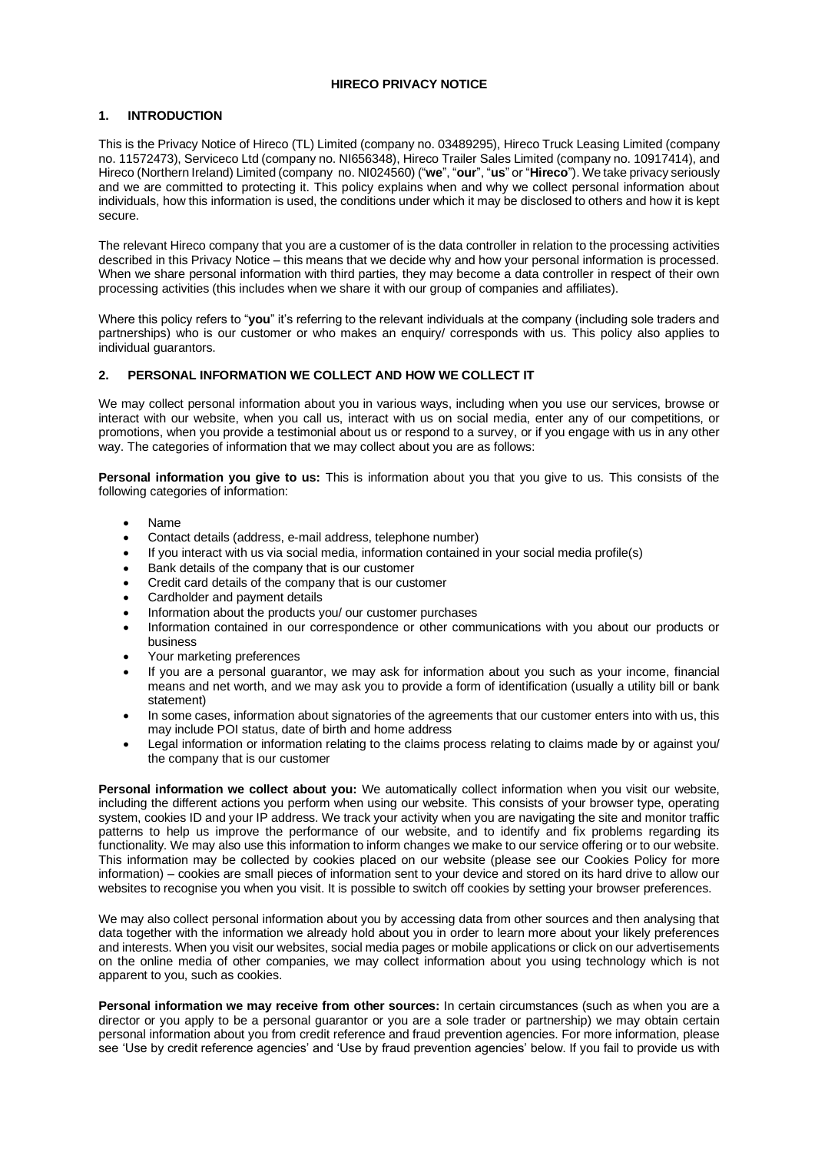### **HIRECO PRIVACY NOTICE**

# **1. INTRODUCTION**

This is the Privacy Notice of Hireco (TL) Limited (company no. 03489295), Hireco Truck Leasing Limited (company no. 11572473), Serviceco Ltd (company no. NI656348), Hireco Trailer Sales Limited (company no. 10917414), and Hireco (Northern Ireland) Limited (company no. NI024560) ("**we**", "**our**", "**us**" or "**Hireco**"). We take privacy seriously and we are committed to protecting it. This policy explains when and why we collect personal information about individuals, how this information is used, the conditions under which it may be disclosed to others and how it is kept secure.

The relevant Hireco company that you are a customer of is the data controller in relation to the processing activities described in this Privacy Notice – this means that we decide why and how your personal information is processed. When we share personal information with third parties, they may become a data controller in respect of their own processing activities (this includes when we share it with our group of companies and affiliates).

Where this policy refers to "**you**" it's referring to the relevant individuals at the company (including sole traders and partnerships) who is our customer or who makes an enquiry/ corresponds with us. This policy also applies to individual guarantors.

# **2. PERSONAL INFORMATION WE COLLECT AND HOW WE COLLECT IT**

We may collect personal information about you in various ways, including when you use our services, browse or interact with our website, when you call us, interact with us on social media, enter any of our competitions, or promotions, when you provide a testimonial about us or respond to a survey, or if you engage with us in any other way. The categories of information that we may collect about you are as follows:

**Personal information you give to us:** This is information about you that you give to us. This consists of the following categories of information:

- Name
- Contact details (address, e-mail address, telephone number)
- If you interact with us via social media, information contained in your social media profile(s)
- Bank details of the company that is our customer
- Credit card details of the company that is our customer
- Cardholder and payment details
- Information about the products you/ our customer purchases
- Information contained in our correspondence or other communications with you about our products or business
- Your marketing preferences
- If you are a personal guarantor, we may ask for information about you such as your income, financial means and net worth, and we may ask you to provide a form of identification (usually a utility bill or bank statement)
- In some cases, information about signatories of the agreements that our customer enters into with us, this may include POI status, date of birth and home address
- Legal information or information relating to the claims process relating to claims made by or against you/ the company that is our customer

**Personal information we collect about you:** We automatically collect information when you visit our website, including the different actions you perform when using our website. This consists of your browser type, operating system, cookies ID and your IP address. We track your activity when you are navigating the site and monitor traffic patterns to help us improve the performance of our website, and to identify and fix problems regarding its functionality. We may also use this information to inform changes we make to our service offering or to our website. This information may be collected by cookies placed on our website (please see our Cookies Policy for more information) – cookies are small pieces of information sent to your device and stored on its hard drive to allow our websites to recognise you when you visit. It is possible to switch off cookies by setting your browser preferences.

We may also collect personal information about you by accessing data from other sources and then analysing that data together with the information we already hold about you in order to learn more about your likely preferences and interests. When you visit our websites, social media pages or mobile applications or click on our advertisements on the online media of other companies, we may collect information about you using technology which is not apparent to you, such as cookies.

**Personal information we may receive from other sources:** In certain circumstances (such as when you are a director or you apply to be a personal guarantor or you are a sole trader or partnership) we may obtain certain personal information about you from credit reference and fraud prevention agencies. For more information, please see 'Use by credit reference agencies' and 'Use by fraud prevention agencies' below. If you fail to provide us with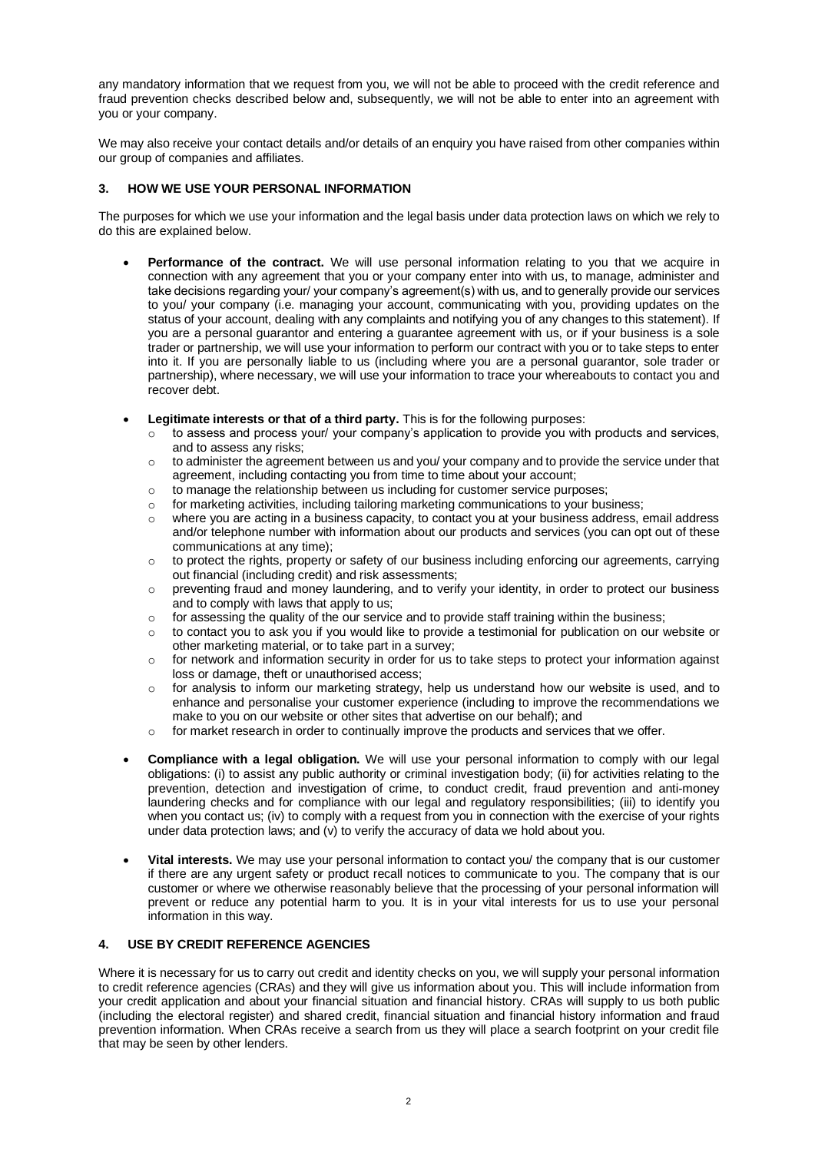any mandatory information that we request from you, we will not be able to proceed with the credit reference and fraud prevention checks described below and, subsequently, we will not be able to enter into an agreement with you or your company.

We may also receive your contact details and/or details of an enquiry you have raised from other companies within our group of companies and affiliates.

# **3. HOW WE USE YOUR PERSONAL INFORMATION**

The purposes for which we use your information and the legal basis under data protection laws on which we rely to do this are explained below.

- Performance of the contract. We will use personal information relating to you that we acquire in connection with any agreement that you or your company enter into with us, to manage, administer and take decisions regarding your/ your company's agreement(s) with us, and to generally provide our services to you/ your company (i.e. managing your account, communicating with you, providing updates on the status of your account, dealing with any complaints and notifying you of any changes to this statement). If you are a personal guarantor and entering a guarantee agreement with us, or if your business is a sole trader or partnership, we will use your information to perform our contract with you or to take steps to enter into it. If you are personally liable to us (including where you are a personal guarantor, sole trader or partnership), where necessary, we will use your information to trace your whereabouts to contact you and recover debt.
- **Legitimate interests or that of a third party.** This is for the following purposes:
	- $\circ$  to assess and process your/ your company's application to provide you with products and services, and to assess any risks;
	- $\circ$  to administer the agreement between us and you/ your company and to provide the service under that agreement, including contacting you from time to time about your account;
	- $\circ$  to manage the relationship between us including for customer service purposes;
	- o for marketing activities, including tailoring marketing communications to your business;
	- o where you are acting in a business capacity, to contact you at your business address, email address and/or telephone number with information about our products and services (you can opt out of these communications at any time);
	- $\circ$  to protect the rights, property or safety of our business including enforcing our agreements, carrying out financial (including credit) and risk assessments;
	- o preventing fraud and money laundering, and to verify your identity, in order to protect our business and to comply with laws that apply to us;
	- $\circ$  for assessing the quality of the our service and to provide staff training within the business;
	- o to contact you to ask you if you would like to provide a testimonial for publication on our website or other marketing material, or to take part in a survey;
	- o for network and information security in order for us to take steps to protect your information against loss or damage, theft or unauthorised access;
	- $\circ$  for analysis to inform our marketing strategy, help us understand how our website is used, and to enhance and personalise your customer experience (including to improve the recommendations we make to you on our website or other sites that advertise on our behalf); and
	- $\circ$  for market research in order to continually improve the products and services that we offer.
- **Compliance with a legal obligation.** We will use your personal information to comply with our legal obligations: (i) to assist any public authority or criminal investigation body; (ii) for activities relating to the prevention, detection and investigation of crime, to conduct credit, fraud prevention and anti-money laundering checks and for compliance with our legal and regulatory responsibilities; (iii) to identify you when you contact us; (iv) to comply with a request from you in connection with the exercise of your rights under data protection laws; and (v) to verify the accuracy of data we hold about you.
- **Vital interests.** We may use your personal information to contact you/ the company that is our customer if there are any urgent safety or product recall notices to communicate to you. The company that is our customer or where we otherwise reasonably believe that the processing of your personal information will prevent or reduce any potential harm to you. It is in your vital interests for us to use your personal information in this way.

# **4. USE BY CREDIT REFERENCE AGENCIES**

Where it is necessary for us to carry out credit and identity checks on you, we will supply your personal information to credit reference agencies (CRAs) and they will give us information about you. This will include information from your credit application and about your financial situation and financial history. CRAs will supply to us both public (including the electoral register) and shared credit, financial situation and financial history information and fraud prevention information. When CRAs receive a search from us they will place a search footprint on your credit file that may be seen by other lenders.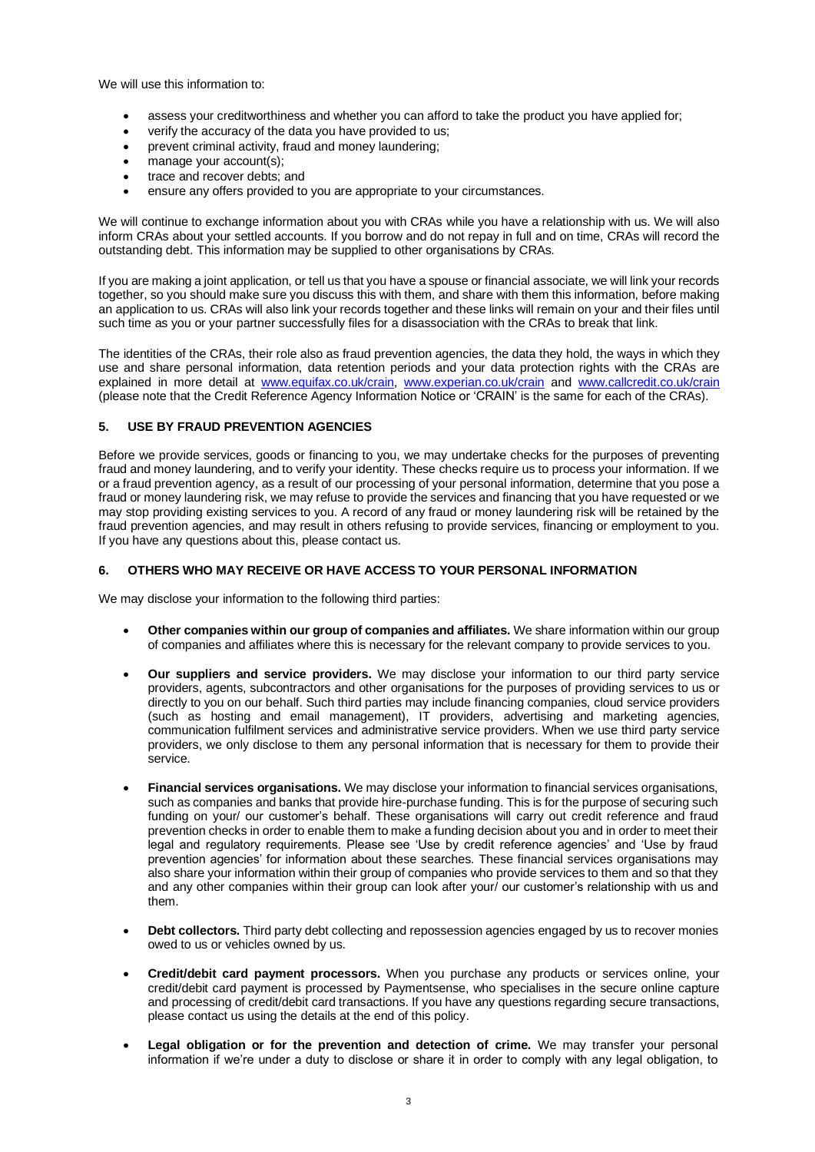We will use this information to:

- assess your creditworthiness and whether you can afford to take the product you have applied for;
- verify the accuracy of the data you have provided to us;
- prevent criminal activity, fraud and money laundering:
- manage your account(s):
- trace and recover debts; and
- ensure any offers provided to you are appropriate to your circumstances.

We will continue to exchange information about you with CRAs while you have a relationship with us. We will also inform CRAs about your settled accounts. If you borrow and do not repay in full and on time, CRAs will record the outstanding debt. This information may be supplied to other organisations by CRAs.

If you are making a joint application, or tell us that you have a spouse or financial associate, we will link your records together, so you should make sure you discuss this with them, and share with them this information, before making an application to us. CRAs will also link your records together and these links will remain on your and their files until such time as you or your partner successfully files for a disassociation with the CRAs to break that link.

The identities of the CRAs, their role also as fraud prevention agencies, the data they hold, the ways in which they use and share personal information, data retention periods and your data protection rights with the CRAs are explained in more detail at [www.equifax.co.uk/crain,](http://www.equifax.co.uk/crain) [www.experian.co.uk/crain](http://www.experian.co.uk/crain) and [www.callcredit.co.uk/crain](http://www.callcredit.co.uk/crain) (please note that the Credit Reference Agency Information Notice or 'CRAIN' is the same for each of the CRAs).

# **5. USE BY FRAUD PREVENTION AGENCIES**

Before we provide services, goods or financing to you, we may undertake checks for the purposes of preventing fraud and money laundering, and to verify your identity. These checks require us to process your information. If we or a fraud prevention agency, as a result of our processing of your personal information, determine that you pose a fraud or money laundering risk, we may refuse to provide the services and financing that you have requested or we may stop providing existing services to you. A record of any fraud or money laundering risk will be retained by the fraud prevention agencies, and may result in others refusing to provide services, financing or employment to you. If you have any questions about this, please contact us.

# **6. OTHERS WHO MAY RECEIVE OR HAVE ACCESS TO YOUR PERSONAL INFORMATION**

We may disclose your information to the following third parties:

- **Other companies within our group of companies and affiliates.** We share information within our group of companies and affiliates where this is necessary for the relevant company to provide services to you.
- **Our suppliers and service providers.** We may disclose your information to our third party service providers, agents, subcontractors and other organisations for the purposes of providing services to us or directly to you on our behalf. Such third parties may include financing companies, cloud service providers (such as hosting and email management), IT providers, advertising and marketing agencies, communication fulfilment services and administrative service providers. When we use third party service providers, we only disclose to them any personal information that is necessary for them to provide their service.
- **Financial services organisations.** We may disclose your information to financial services organisations, such as companies and banks that provide hire-purchase funding. This is for the purpose of securing such funding on your/ our customer's behalf. These organisations will carry out credit reference and fraud prevention checks in order to enable them to make a funding decision about you and in order to meet their legal and regulatory requirements. Please see 'Use by credit reference agencies' and 'Use by fraud prevention agencies' for information about these searches. These financial services organisations may also share your information within their group of companies who provide services to them and so that they and any other companies within their group can look after your/ our customer's relationship with us and them.
- **Debt collectors.** Third party debt collecting and repossession agencies engaged by us to recover monies owed to us or vehicles owned by us.
- **Credit/debit card payment processors.** When you purchase any products or services online, your credit/debit card payment is processed by Paymentsense, who specialises in the secure online capture and processing of credit/debit card transactions. If you have any questions regarding secure transactions, please contact us using the details at the end of this policy.
- **Legal obligation or for the prevention and detection of crime.** We may transfer your personal information if we're under a duty to disclose or share it in order to comply with any legal obligation, to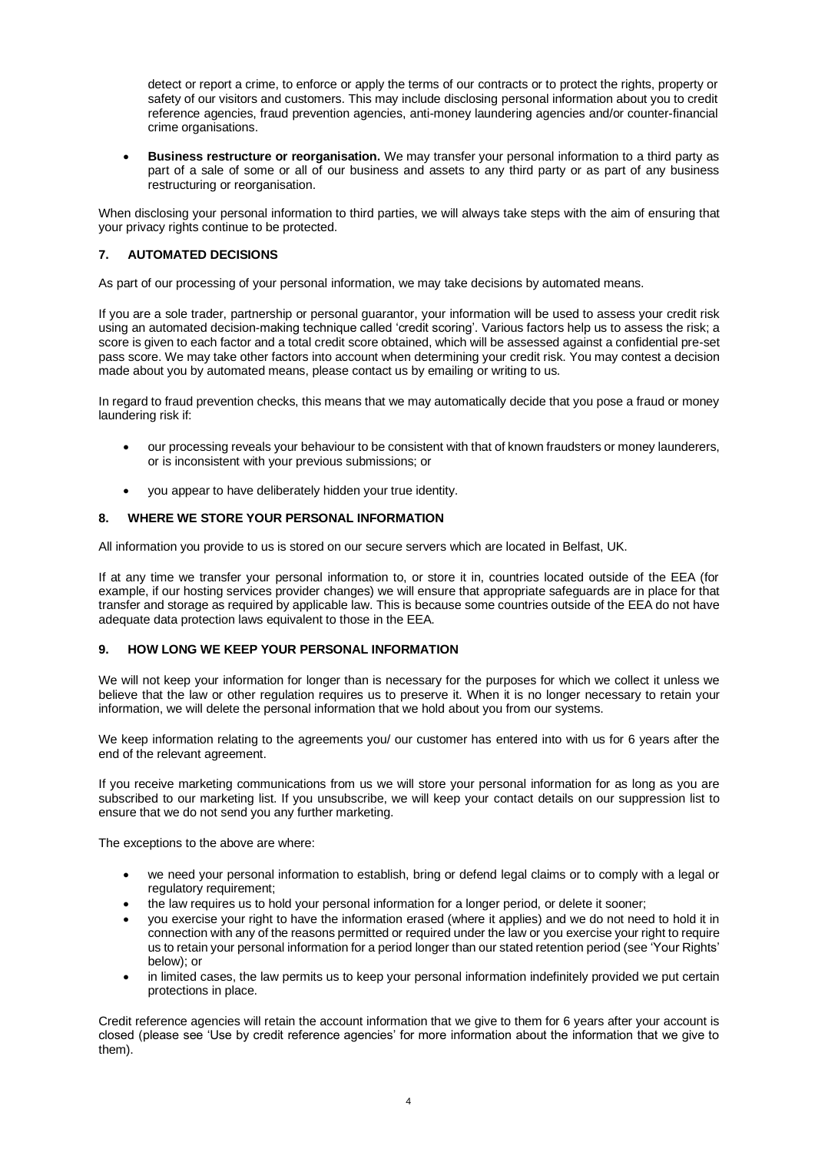detect or report a crime, to enforce or apply the terms of our contracts or to protect the rights, property or safety of our visitors and customers. This may include disclosing personal information about you to credit reference agencies, fraud prevention agencies, anti-money laundering agencies and/or counter-financial crime organisations.

• **Business restructure or reorganisation.** We may transfer your personal information to a third party as part of a sale of some or all of our business and assets to any third party or as part of any business restructuring or reorganisation.

When disclosing your personal information to third parties, we will always take steps with the aim of ensuring that your privacy rights continue to be protected.

# **7. AUTOMATED DECISIONS**

As part of our processing of your personal information, we may take decisions by automated means.

If you are a sole trader, partnership or personal guarantor, your information will be used to assess your credit risk using an automated decision-making technique called 'credit scoring'. Various factors help us to assess the risk; a score is given to each factor and a total credit score obtained, which will be assessed against a confidential pre-set pass score. We may take other factors into account when determining your credit risk. You may contest a decision made about you by automated means, please contact us by emailing or writing to us.

In regard to fraud prevention checks, this means that we may automatically decide that you pose a fraud or money laundering risk if:

- our processing reveals your behaviour to be consistent with that of known fraudsters or money launderers, or is inconsistent with your previous submissions; or
- you appear to have deliberately hidden your true identity.

### **8. WHERE WE STORE YOUR PERSONAL INFORMATION**

All information you provide to us is stored on our secure servers which are located in Belfast, UK.

If at any time we transfer your personal information to, or store it in, countries located outside of the EEA (for example, if our hosting services provider changes) we will ensure that appropriate safeguards are in place for that transfer and storage as required by applicable law. This is because some countries outside of the EEA do not have adequate data protection laws equivalent to those in the EEA.

#### **9. HOW LONG WE KEEP YOUR PERSONAL INFORMATION**

We will not keep your information for longer than is necessary for the purposes for which we collect it unless we believe that the law or other regulation requires us to preserve it. When it is no longer necessary to retain your information, we will delete the personal information that we hold about you from our systems.

We keep information relating to the agreements you/ our customer has entered into with us for 6 years after the end of the relevant agreement.

If you receive marketing communications from us we will store your personal information for as long as you are subscribed to our marketing list. If you unsubscribe, we will keep your contact details on our suppression list to ensure that we do not send you any further marketing.

The exceptions to the above are where:

- we need your personal information to establish, bring or defend legal claims or to comply with a legal or regulatory requirement;
- the law requires us to hold your personal information for a longer period, or delete it sooner;
- you exercise your right to have the information erased (where it applies) and we do not need to hold it in connection with any of the reasons permitted or required under the law or you exercise your right to require us to retain your personal information for a period longer than our stated retention period (see 'Your Rights' below); or
- in limited cases, the law permits us to keep your personal information indefinitely provided we put certain protections in place.

Credit reference agencies will retain the account information that we give to them for 6 years after your account is closed (please see 'Use by credit reference agencies' for more information about the information that we give to them).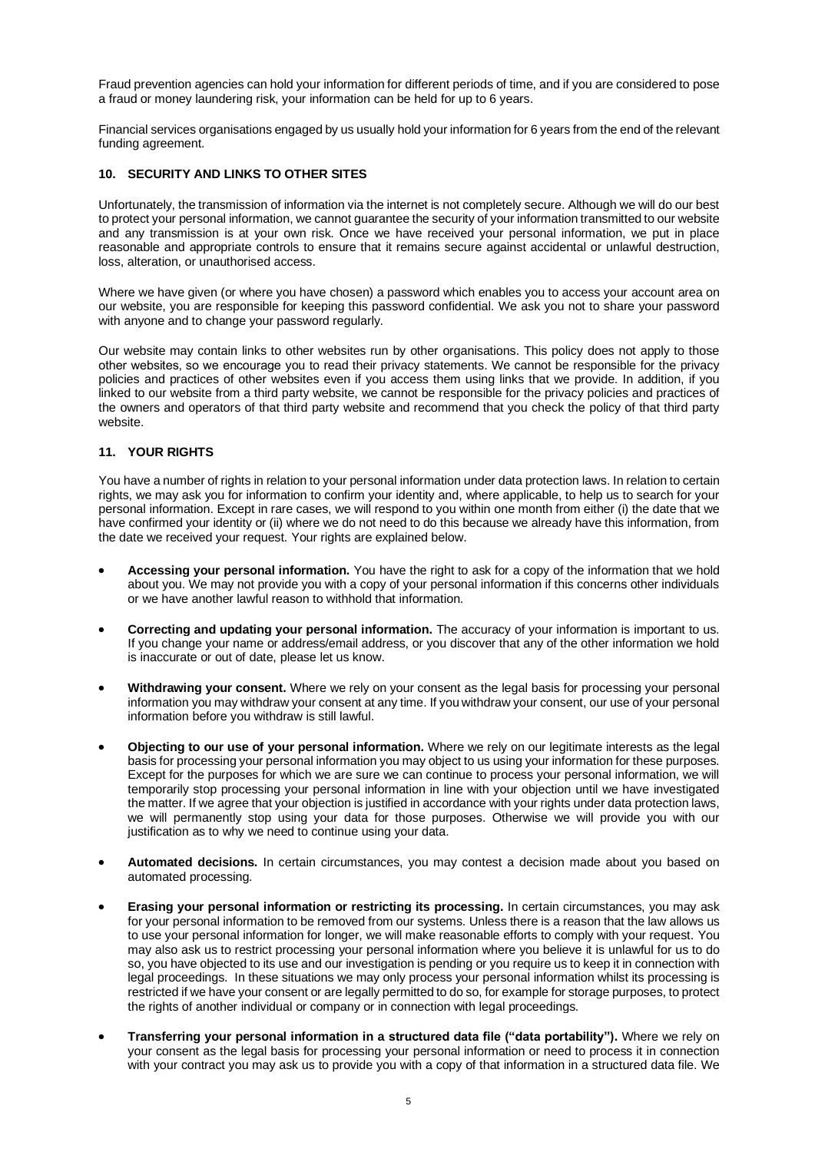Fraud prevention agencies can hold your information for different periods of time, and if you are considered to pose a fraud or money laundering risk, your information can be held for up to 6 years.

Financial services organisations engaged by us usually hold your information for 6 years from the end of the relevant funding agreement.

# **10. SECURITY AND LINKS TO OTHER SITES**

Unfortunately, the transmission of information via the internet is not completely secure. Although we will do our best to protect your personal information, we cannot guarantee the security of your information transmitted to our website and any transmission is at your own risk. Once we have received your personal information, we put in place reasonable and appropriate controls to ensure that it remains secure against accidental or unlawful destruction, loss, alteration, or unauthorised access.

Where we have given (or where you have chosen) a password which enables you to access your account area on our website, you are responsible for keeping this password confidential. We ask you not to share your password with anyone and to change your password regularly.

Our website may contain links to other websites run by other organisations. This policy does not apply to those other websites, so we encourage you to read their privacy statements. We cannot be responsible for the privacy policies and practices of other websites even if you access them using links that we provide. In addition, if you linked to our website from a third party website, we cannot be responsible for the privacy policies and practices of the owners and operators of that third party website and recommend that you check the policy of that third party website.

# **11. YOUR RIGHTS**

You have a number of rights in relation to your personal information under data protection laws. In relation to certain rights, we may ask you for information to confirm your identity and, where applicable, to help us to search for your personal information. Except in rare cases, we will respond to you within one month from either (i) the date that we have confirmed your identity or (ii) where we do not need to do this because we already have this information, from the date we received your request. Your rights are explained below.

- **Accessing your personal information.** You have the right to ask for a copy of the information that we hold about you. We may not provide you with a copy of your personal information if this concerns other individuals or we have another lawful reason to withhold that information.
- **Correcting and updating your personal information.** The accuracy of your information is important to us. If you change your name or address/email address, or you discover that any of the other information we hold is inaccurate or out of date, please let us know.
- **Withdrawing your consent.** Where we rely on your consent as the legal basis for processing your personal information you may withdraw your consent at any time. If you withdraw your consent, our use of your personal information before you withdraw is still lawful.
- **Objecting to our use of your personal information.** Where we rely on our legitimate interests as the legal basis for processing your personal information you may object to us using your information for these purposes. Except for the purposes for which we are sure we can continue to process your personal information, we will temporarily stop processing your personal information in line with your objection until we have investigated the matter. If we agree that your objection is justified in accordance with your rights under data protection laws, we will permanently stop using your data for those purposes. Otherwise we will provide you with our justification as to why we need to continue using your data.
- **Automated decisions.** In certain circumstances, you may contest a decision made about you based on automated processing.
- **Erasing your personal information or restricting its processing.** In certain circumstances, you may ask for your personal information to be removed from our systems. Unless there is a reason that the law allows us to use your personal information for longer, we will make reasonable efforts to comply with your request. You may also ask us to restrict processing your personal information where you believe it is unlawful for us to do so, you have objected to its use and our investigation is pending or you require us to keep it in connection with legal proceedings. In these situations we may only process your personal information whilst its processing is restricted if we have your consent or are legally permitted to do so, for example for storage purposes, to protect the rights of another individual or company or in connection with legal proceedings.
- **Transferring your personal information in a structured data file ("data portability").** Where we rely on your consent as the legal basis for processing your personal information or need to process it in connection with your contract you may ask us to provide you with a copy of that information in a structured data file. We